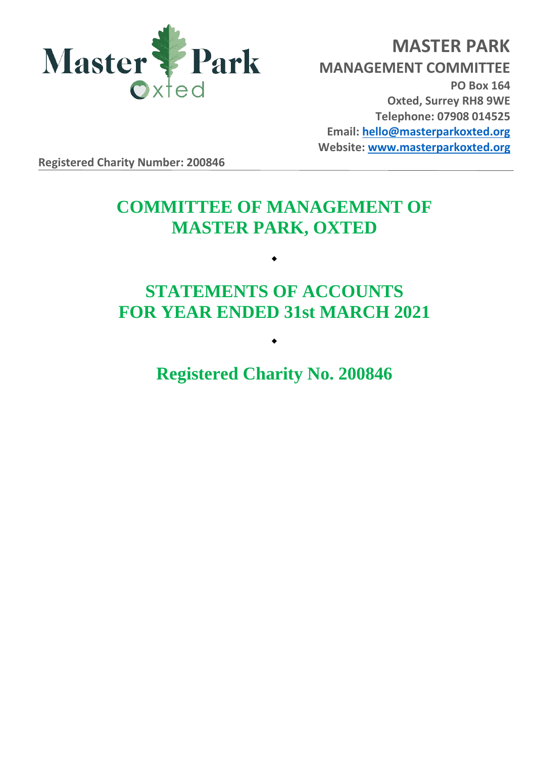

**MASTER PARK MANAGEMENT COMMITTEE PO Box 164 Oxted, Surrey RH8 9WE Telephone: 07908 014525 Email: [hello@masterparkoxted.org](mailto:hello@masterparkoxted.org) Website: [www.masterparkoxted.org](http://www.masterparkoxted.org/)**

**Registered Charity Number: 200846**

# **COMMITTEE OF MANAGEMENT OF MASTER PARK, OXTED**

# **STATEMENTS OF ACCOUNTS FOR YEAR ENDED 31st MARCH 2021**

 $\bullet$ 

**Registered Charity No. 200846**

 $\bullet$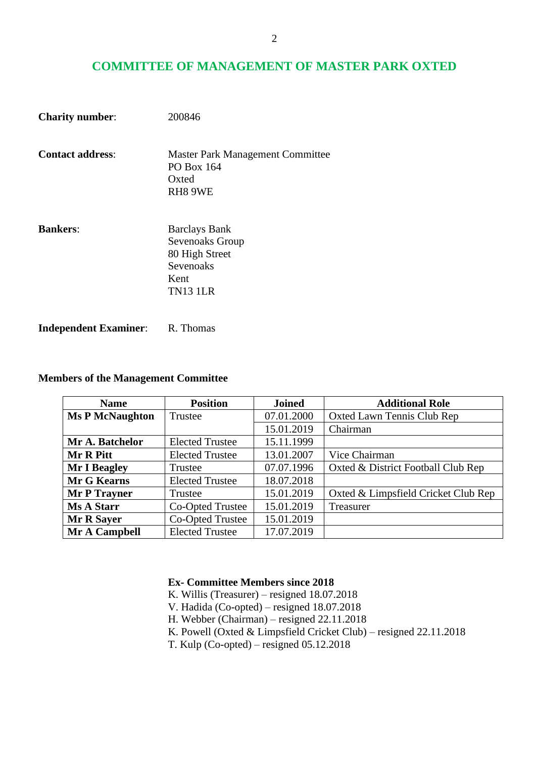# **COMMITTEE OF MANAGEMENT OF MASTER PARK OXTED**

| <b>Charity number:</b>  | 200846                                                                                            |
|-------------------------|---------------------------------------------------------------------------------------------------|
| <b>Contact address:</b> | <b>Master Park Management Committee</b><br>PO Box 164<br>Oxted<br>RH8 9WE                         |
| <b>Bankers:</b>         | <b>Barclays Bank</b><br>Sevenoaks Group<br>80 High Street<br>Sevenoaks<br>Kent<br><b>TN13 1LR</b> |

**Independent Examiner:** R. Thomas

## **Members of the Management Committee**

| <b>Name</b>            | <b>Position</b>        | <b>Joined</b> | <b>Additional Role</b>              |
|------------------------|------------------------|---------------|-------------------------------------|
| <b>Ms P McNaughton</b> | Trustee                | 07.01.2000    | Oxted Lawn Tennis Club Rep          |
|                        |                        | 15.01.2019    | Chairman                            |
| Mr A. Batchelor        | <b>Elected Trustee</b> | 15.11.1999    |                                     |
| Mr R Pitt              | <b>Elected Trustee</b> | 13.01.2007    | Vice Chairman                       |
| <b>Mr I Beagley</b>    | Trustee                | 07.07.1996    | Oxted & District Football Club Rep  |
| <b>Mr G Kearns</b>     | <b>Elected Trustee</b> | 18.07.2018    |                                     |
| <b>Mr P Trayner</b>    | Trustee                | 15.01.2019    | Oxted & Limpsfield Cricket Club Rep |
| <b>Ms A Starr</b>      | Co-Opted Trustee       | 15.01.2019    | Treasurer                           |
| <b>Mr R Sayer</b>      | Co-Opted Trustee       | 15.01.2019    |                                     |
| Mr A Campbell          | <b>Elected Trustee</b> | 17.07.2019    |                                     |

## **Ex- Committee Members since 2018**

- K. Willis (Treasurer) resigned 18.07.2018
- V. Hadida (Co-opted) resigned 18.07.2018
- H. Webber (Chairman) resigned 22.11.2018
- K. Powell (Oxted & Limpsfield Cricket Club) resigned 22.11.2018
- T. Kulp (Co-opted) resigned 05.12.2018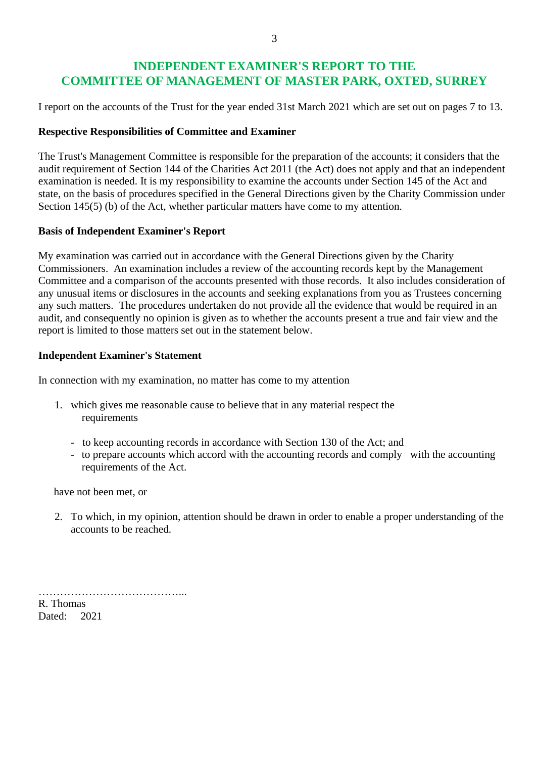# **INDEPENDENT EXAMINER'S REPORT TO THE COMMITTEE OF MANAGEMENT OF MASTER PARK, OXTED, SURREY**

I report on the accounts of the Trust for the year ended 31st March 2021 which are set out on pages 7 to 13.

## **Respective Responsibilities of Committee and Examiner**

The Trust's Management Committee is responsible for the preparation of the accounts; it considers that the audit requirement of Section 144 of the Charities Act 2011 (the Act) does not apply and that an independent examination is needed. It is my responsibility to examine the accounts under Section 145 of the Act and state, on the basis of procedures specified in the General Directions given by the Charity Commission under Section 145(5) (b) of the Act, whether particular matters have come to my attention.

#### **Basis of Independent Examiner's Report**

My examination was carried out in accordance with the General Directions given by the Charity Commissioners. An examination includes a review of the accounting records kept by the Management Committee and a comparison of the accounts presented with those records. It also includes consideration of any unusual items or disclosures in the accounts and seeking explanations from you as Trustees concerning any such matters. The procedures undertaken do not provide all the evidence that would be required in an audit, and consequently no opinion is given as to whether the accounts present a true and fair view and the report is limited to those matters set out in the statement below.

## **Independent Examiner's Statement**

In connection with my examination, no matter has come to my attention

- 1. which gives me reasonable cause to believe that in any material respect the requirements
	- to keep accounting records in accordance with Section 130 of the Act; and
	- to prepare accounts which accord with the accounting records and comply with the accounting requirements of the Act.

have not been met, or

2. To which, in my opinion, attention should be drawn in order to enable a proper understanding of the accounts to be reached.

…………………………………... R. Thomas

Dated: 2021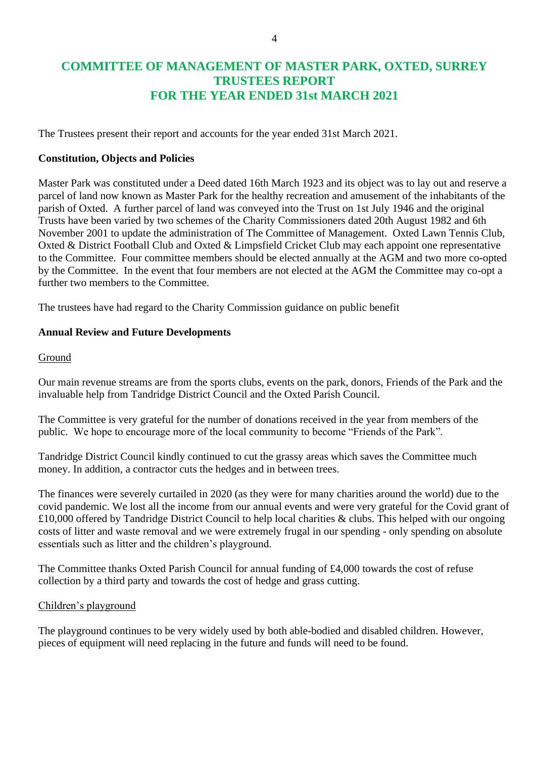# **COMMITTEE OF MANAGEMENT OF MASTER PARK, OXTED, SURREY TRUSTEES REPORT FOR THE YEAR ENDED 31st MARCH 2021**

The Trustees present their report and accounts for the year ended 31st March 2021.

## **Constitution, Objects and Policies**

Master Park was constituted under a Deed dated 16th March 1923 and its object was to lay out and reserve a parcel of land now known as Master Park for the healthy recreation and amusement of the inhabitants of the parish of Oxted. A further parcel of land was conveyed into the Trust on 1st July 1946 and the original Trusts have been varied by two schemes of the Charity Commissioners dated 20th August 1982 and 6th November 2001 to update the administration of The Committee of Management. Oxted Lawn Tennis Club, Oxted & District Football Club and Oxted & Limpsfield Cricket Club may each appoint one representative to the Committee. Four committee members should be elected annually at the AGM and two more co-opted by the Committee. In the event that four members are not elected at the AGM the Committee may co-opt a further two members to the Committee.

The trustees have had regard to the Charity Commission guidance on public benefit

## **Annual Review and Future Developments**

#### Ground

Our main revenue streams are from the sports clubs, events on the park, donors, Friends of the Park and the invaluable help from Tandridge District Council and the Oxted Parish Council.

The Committee is very grateful for the number of donations received in the year from members of the public. We hope to encourage more of the local community to become "Friends of the Park".

Tandridge District Council kindly continued to cut the grassy areas which saves the Committee much money. In addition, a contractor cuts the hedges and in between trees.

The finances were severely curtailed in 2020 (as they were for many charities around the world) due to the covid pandemic. We lost all the income from our annual events and were very grateful for the Covid grant of £10,000 offered by Tandridge District Council to help local charities & clubs. This helped with our ongoing costs of litter and waste removal and we were extremely frugal in our spending - only spending on absolute essentials such as litter and the children's playground.

The Committee thanks Oxted Parish Council for annual funding of £4,000 towards the cost of refuse collection by a third party and towards the cost of hedge and grass cutting.

#### Children's playground

The playground continues to be very widely used by both able-bodied and disabled children. However, pieces of equipment will need replacing in the future and funds will need to be found.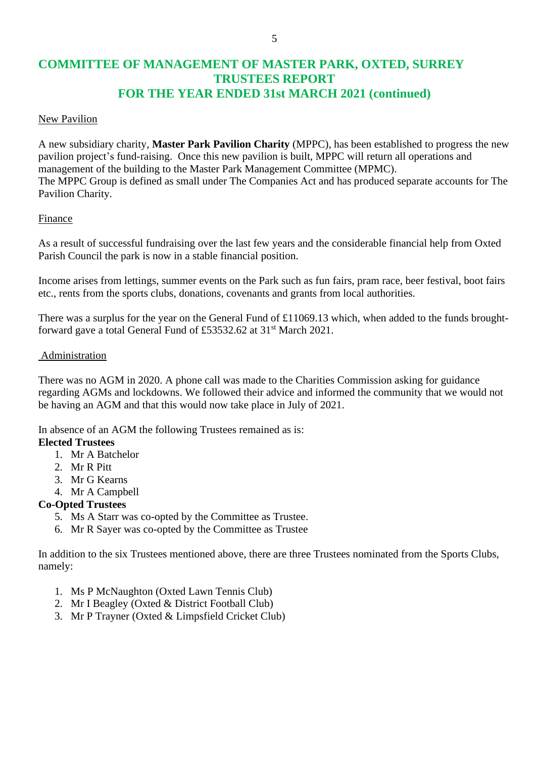# **COMMITTEE OF MANAGEMENT OF MASTER PARK, OXTED, SURREY TRUSTEES REPORT FOR THE YEAR ENDED 31st MARCH 2021 (continued)**

#### New Pavilion

A new subsidiary charity, **Master Park Pavilion Charity** (MPPC), has been established to progress the new pavilion project's fund-raising. Once this new pavilion is built, MPPC will return all operations and management of the building to the Master Park Management Committee (MPMC). The MPPC Group is defined as small under The Companies Act and has produced separate accounts for The Pavilion Charity.

## Finance

As a result of successful fundraising over the last few years and the considerable financial help from Oxted Parish Council the park is now in a stable financial position.

Income arises from lettings, summer events on the Park such as fun fairs, pram race, beer festival, boot fairs etc., rents from the sports clubs, donations, covenants and grants from local authorities.

There was a surplus for the year on the General Fund of £11069.13 which, when added to the funds broughtforward gave a total General Fund of £53532.62 at 31st March 2021.

#### Administration

There was no AGM in 2020. A phone call was made to the Charities Commission asking for guidance regarding AGMs and lockdowns. We followed their advice and informed the community that we would not be having an AGM and that this would now take place in July of 2021.

In absence of an AGM the following Trustees remained as is:

## **Elected Trustees**

- 1. Mr A Batchelor
- 2. Mr R Pitt
- 3. Mr G Kearns
- 4. Mr A Campbell

## **Co-Opted Trustees**

- 5. Ms A Starr was co-opted by the Committee as Trustee.
- 6. Mr R Sayer was co-opted by the Committee as Trustee

In addition to the six Trustees mentioned above, there are three Trustees nominated from the Sports Clubs, namely:

- 1. Ms P McNaughton (Oxted Lawn Tennis Club)
- 2. Mr I Beagley (Oxted & District Football Club)
- 3. Mr P Trayner (Oxted & Limpsfield Cricket Club)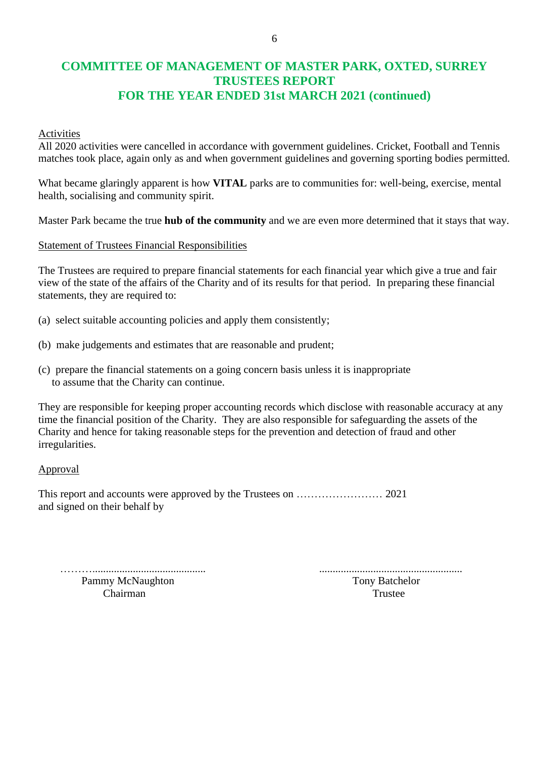# **COMMITTEE OF MANAGEMENT OF MASTER PARK, OXTED, SURREY TRUSTEES REPORT FOR THE YEAR ENDED 31st MARCH 2021 (continued)**

#### Activities

All 2020 activities were cancelled in accordance with government guidelines. Cricket, Football and Tennis matches took place, again only as and when government guidelines and governing sporting bodies permitted.

What became glaringly apparent is how **VITAL** parks are to communities for: well-being, exercise, mental health, socialising and community spirit.

Master Park became the true **hub of the community** and we are even more determined that it stays that way.

#### Statement of Trustees Financial Responsibilities

The Trustees are required to prepare financial statements for each financial year which give a true and fair view of the state of the affairs of the Charity and of its results for that period. In preparing these financial statements, they are required to:

- (a) select suitable accounting policies and apply them consistently;
- (b) make judgements and estimates that are reasonable and prudent;
- (c) prepare the financial statements on a going concern basis unless it is inappropriate to assume that the Charity can continue.

They are responsible for keeping proper accounting records which disclose with reasonable accuracy at any time the financial position of the Charity. They are also responsible for safeguarding the assets of the Charity and hence for taking reasonable steps for the prevention and detection of fraud and other irregularities.

#### Approval

This report and accounts were approved by the Trustees on …………………… 2021 and signed on their behalf by

Pammy McNaughton **Tony Batchelor** Tony Batchelor

……….......................................... .....................................................

Chairman Trustee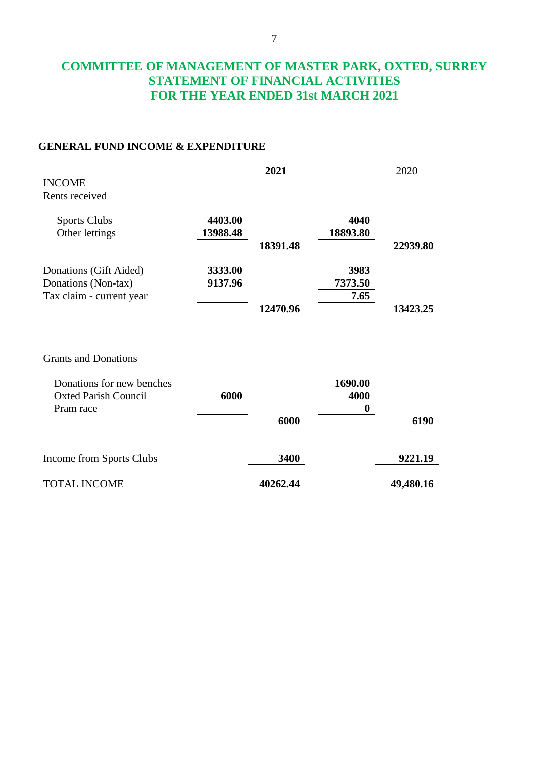# **COMMITTEE OF MANAGEMENT OF MASTER PARK, OXTED, SURREY STATEMENT OF FINANCIAL ACTIVITIES FOR THE YEAR ENDED 31st MARCH 2021**

## **GENERAL FUND INCOME & EXPENDITURE**

| <b>INCOME</b><br>Rents received                                                                      |                     | 2021     |                                     | 2020      |
|------------------------------------------------------------------------------------------------------|---------------------|----------|-------------------------------------|-----------|
| <b>Sports Clubs</b><br>Other lettings                                                                | 4403.00<br>13988.48 | 18391.48 | 4040<br>18893.80                    | 22939.80  |
| Donations (Gift Aided)<br>Donations (Non-tax)<br>Tax claim - current year                            | 3333.00<br>9137.96  | 12470.96 | 3983<br>7373.50<br>7.65             | 13423.25  |
| <b>Grants and Donations</b><br>Donations for new benches<br><b>Oxted Parish Council</b><br>Pram race | 6000                | 6000     | 1690.00<br>4000<br>$\boldsymbol{0}$ | 6190      |
| Income from Sports Clubs                                                                             |                     | 3400     |                                     | 9221.19   |
| <b>TOTAL INCOME</b>                                                                                  |                     | 40262.44 |                                     | 49,480.16 |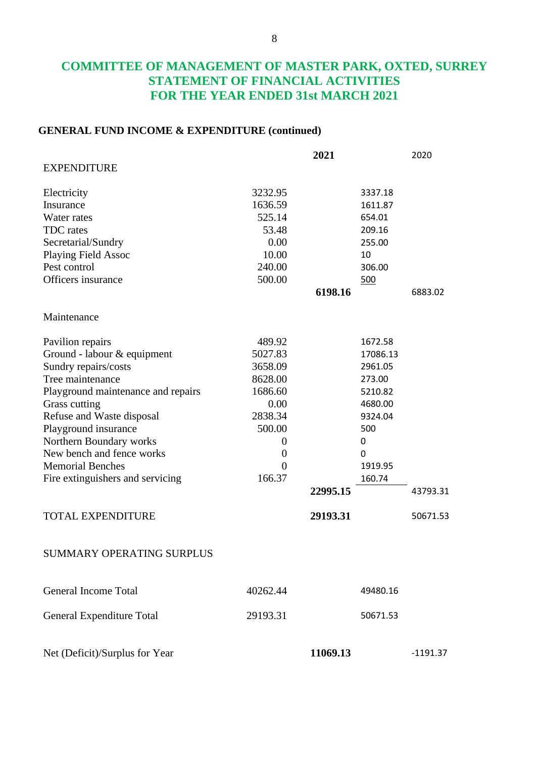# **COMMITTEE OF MANAGEMENT OF MASTER PARK, OXTED, SURREY STATEMENT OF FINANCIAL ACTIVITIES FOR THE YEAR ENDED 31st MARCH 2021**

## **GENERAL FUND INCOME & EXPENDITURE (continued)**

|                                    |                  | 2021     |          | 2020       |
|------------------------------------|------------------|----------|----------|------------|
| <b>EXPENDITURE</b>                 |                  |          |          |            |
| Electricity                        | 3232.95          |          | 3337.18  |            |
| Insurance                          | 1636.59          |          | 1611.87  |            |
| Water rates                        | 525.14           |          | 654.01   |            |
| TDC rates                          | 53.48            |          | 209.16   |            |
| Secretarial/Sundry                 | 0.00             |          | 255.00   |            |
| <b>Playing Field Assoc</b>         | 10.00            |          | 10       |            |
| Pest control                       | 240.00           |          | 306.00   |            |
| Officers insurance                 | 500.00           |          | 500      |            |
|                                    |                  | 6198.16  |          | 6883.02    |
| Maintenance                        |                  |          |          |            |
| Pavilion repairs                   | 489.92           |          | 1672.58  |            |
| Ground - labour & equipment        | 5027.83          |          | 17086.13 |            |
| Sundry repairs/costs               | 3658.09          |          | 2961.05  |            |
| Tree maintenance                   | 8628.00          |          | 273.00   |            |
| Playground maintenance and repairs | 1686.60          |          | 5210.82  |            |
| Grass cutting                      | 0.00             |          | 4680.00  |            |
| Refuse and Waste disposal          | 2838.34          |          | 9324.04  |            |
| Playground insurance               | 500.00           |          | 500      |            |
| Northern Boundary works            | $\boldsymbol{0}$ |          | 0        |            |
| New bench and fence works          | $\boldsymbol{0}$ |          | 0        |            |
| <b>Memorial Benches</b>            | $\theta$         |          | 1919.95  |            |
| Fire extinguishers and servicing   | 166.37           |          | 160.74   |            |
|                                    |                  | 22995.15 |          | 43793.31   |
| <b>TOTAL EXPENDITURE</b>           |                  | 29193.31 |          | 50671.53   |
| SUMMARY OPERATING SURPLUS          |                  |          |          |            |
| <b>General Income Total</b>        | 40262.44         |          | 49480.16 |            |
| General Expenditure Total          | 29193.31         |          | 50671.53 |            |
| Net (Deficit)/Surplus for Year     |                  | 11069.13 |          | $-1191.37$ |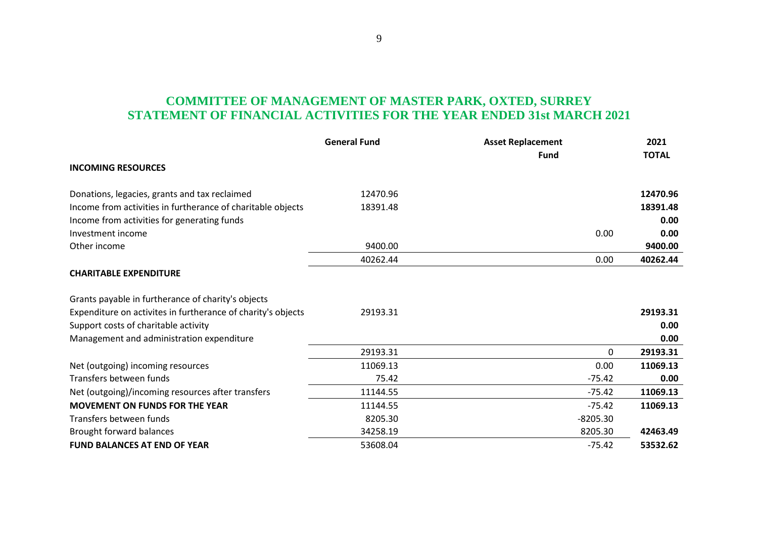# **COMMITTEE OF MANAGEMENT OF MASTER PARK, OXTED, SURREY STATEMENT OF FINANCIAL ACTIVITIES FOR THE YEAR ENDED 31st MARCH 2021**

|                                                              | <b>General Fund</b> | <b>Asset Replacement</b> | 2021         |
|--------------------------------------------------------------|---------------------|--------------------------|--------------|
| <b>INCOMING RESOURCES</b>                                    |                     | <b>Fund</b>              | <b>TOTAL</b> |
| Donations, legacies, grants and tax reclaimed                | 12470.96            |                          | 12470.96     |
| Income from activities in furtherance of charitable objects  | 18391.48            |                          | 18391.48     |
| Income from activities for generating funds                  |                     |                          | 0.00         |
| Investment income                                            |                     | 0.00                     | 0.00         |
| Other income                                                 | 9400.00             |                          | 9400.00      |
|                                                              | 40262.44            | 0.00                     | 40262.44     |
| <b>CHARITABLE EXPENDITURE</b>                                |                     |                          |              |
| Grants payable in furtherance of charity's objects           |                     |                          |              |
| Expenditure on activites in furtherance of charity's objects | 29193.31            |                          | 29193.31     |
| Support costs of charitable activity                         |                     |                          | 0.00         |
| Management and administration expenditure                    |                     |                          | 0.00         |
|                                                              | 29193.31            | 0                        | 29193.31     |
| Net (outgoing) incoming resources                            | 11069.13            | 0.00                     | 11069.13     |
| Transfers between funds                                      | 75.42               | $-75.42$                 | 0.00         |
| Net (outgoing)/incoming resources after transfers            | 11144.55            | $-75.42$                 | 11069.13     |
| <b>MOVEMENT ON FUNDS FOR THE YEAR</b>                        | 11144.55            | $-75.42$                 | 11069.13     |
| Transfers between funds                                      | 8205.30             | $-8205.30$               |              |
| Brought forward balances                                     | 34258.19            | 8205.30                  | 42463.49     |
| <b>FUND BALANCES AT END OF YEAR</b>                          | 53608.04            | $-75.42$                 | 53532.62     |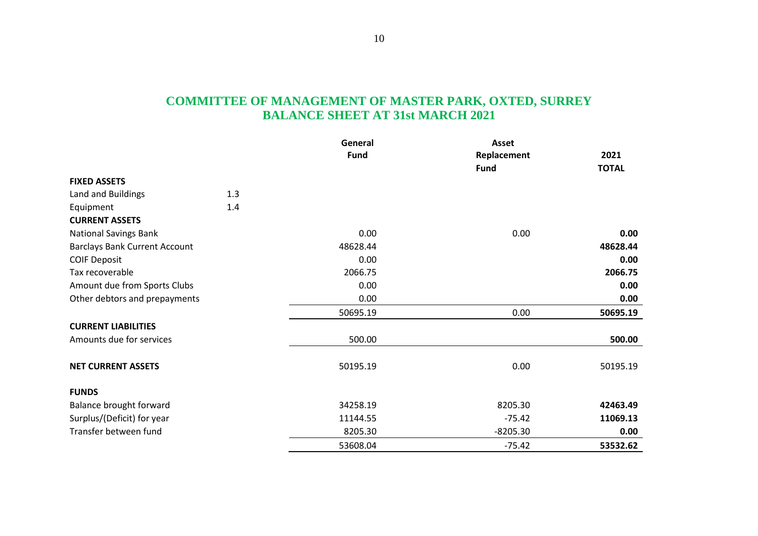# **COMMITTEE OF MANAGEMENT OF MASTER PARK, OXTED, SURREY BALANCE SHEET AT 31st MARCH 2021**

|                                      |     | General<br><b>Fund</b> | <b>Asset</b> |                      |  |
|--------------------------------------|-----|------------------------|--------------|----------------------|--|
|                                      |     |                        | Replacement  | 2021<br><b>TOTAL</b> |  |
|                                      |     |                        | <b>Fund</b>  |                      |  |
| <b>FIXED ASSETS</b>                  |     |                        |              |                      |  |
| Land and Buildings                   | 1.3 |                        |              |                      |  |
| Equipment                            | 1.4 |                        |              |                      |  |
| <b>CURRENT ASSETS</b>                |     |                        |              |                      |  |
| <b>National Savings Bank</b>         |     | 0.00                   | 0.00         | 0.00                 |  |
| <b>Barclays Bank Current Account</b> |     | 48628.44               |              | 48628.44             |  |
| <b>COIF Deposit</b>                  |     | 0.00                   |              | 0.00                 |  |
| Tax recoverable                      |     | 2066.75                |              | 2066.75              |  |
| Amount due from Sports Clubs         |     | 0.00                   |              | 0.00                 |  |
| Other debtors and prepayments        |     | 0.00                   |              | 0.00                 |  |
|                                      |     | 50695.19               | 0.00         | 50695.19             |  |
| <b>CURRENT LIABILITIES</b>           |     |                        |              |                      |  |
| Amounts due for services             |     | 500.00                 |              | 500.00               |  |
| <b>NET CURRENT ASSETS</b>            |     | 50195.19               | 0.00         | 50195.19             |  |
| <b>FUNDS</b>                         |     |                        |              |                      |  |
| Balance brought forward              |     | 34258.19               | 8205.30      | 42463.49             |  |
| Surplus/(Deficit) for year           |     | 11144.55               | $-75.42$     | 11069.13             |  |
| Transfer between fund                |     | 8205.30                | $-8205.30$   | 0.00                 |  |
|                                      |     | 53608.04               | $-75.42$     | 53532.62             |  |